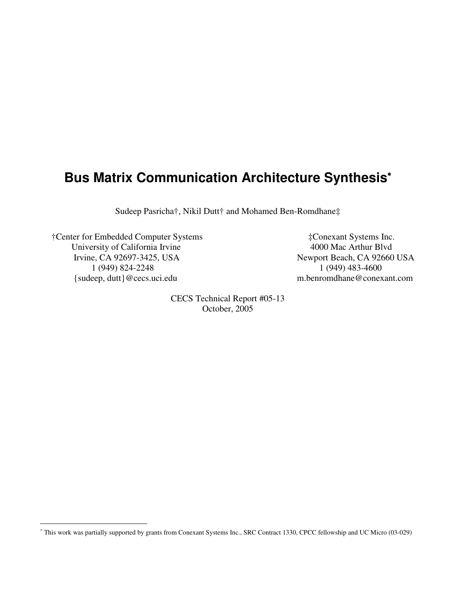# **Bus Matrix Communication Architecture Synthesis** ∗

Sudeep Pasricha†, Nikil Dutt† and Mohamed Ben-Romdhane‡

†Center for Embedded Computer Systems ‡Conexant Systems Inc. University of California Irvine 4000 Mac Arthur Blvd Irvine, CA 92697-3425, USA Newport Beach, CA 92660 USA 1 (949) 824-2248 1 (949) 483-4600 {sudeep, dutt}@cecs.uci.edu m.benromdhane@conexant.com

CECS Technical Report #05-13 October, 2005

<sup>∗</sup> This work was partially supported by grants from Conexant Systems Inc., SRC Contract 1330, CPCC fellowship and UC Micro (03-029)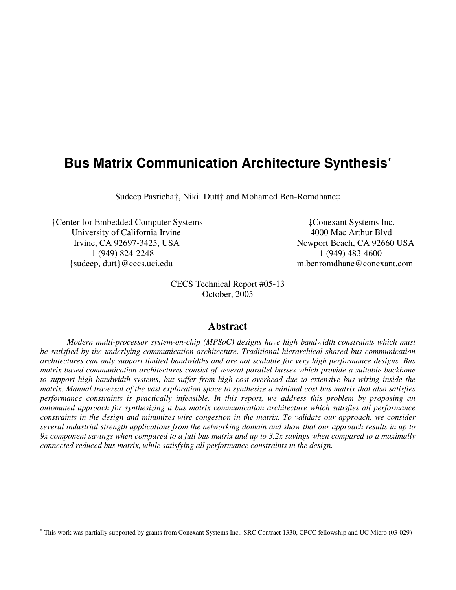# **Bus Matrix Communication Architecture Synthesis** ∗

Sudeep Pasricha†, Nikil Dutt† and Mohamed Ben-Romdhane‡

†Center for Embedded Computer Systems ‡Conexant Systems Inc. University of California Irvine 4000 Mac Arthur Blvd Irvine, CA 92697-3425, USA Newport Beach, CA 92660 USA 1 (949) 824-2248 1 (949) 483-4600 {sudeep, dutt}@cecs.uci.edu m.benromdhane@conexant.com

CECS Technical Report #05-13 October, 2005

### **Abstract**

*Modern multi-processor system-on-chip (MPSoC) designs have high bandwidth constraints which must be satisfied by the underlying communication architecture. Traditional hierarchical shared bus communication architectures can only support limited bandwidths and are not scalable for very high performance designs. Bus matrix based communication architectures consist of several parallel busses which provide a suitable backbone* to support high bandwidth systems, but suffer from high cost overhead due to extensive bus wiring inside the matrix. Manual traversal of the vast exploration space to synthesize a minimal cost bus matrix that also satisfies *performance constraints is practically infeasible. In this report, we address this problem by proposing an automated approach for synthesizing a bus matrix communication architecture which satisfies all performance* constraints in the design and minimizes wire congestion in the matrix. To validate our approach, we consider several industrial strength applications from the networking domain and show that our approach results in up to 9x component savings when compared to a full bus matrix and up to 3.2x savings when compared to a maximally *connected reduced bus matrix, while satisfying all performance constraints in the design.*

<sup>∗</sup> This work was partially supported by grants from Conexant Systems Inc., SRC Contract 1330, CPCC fellowship and UC Micro (03-029)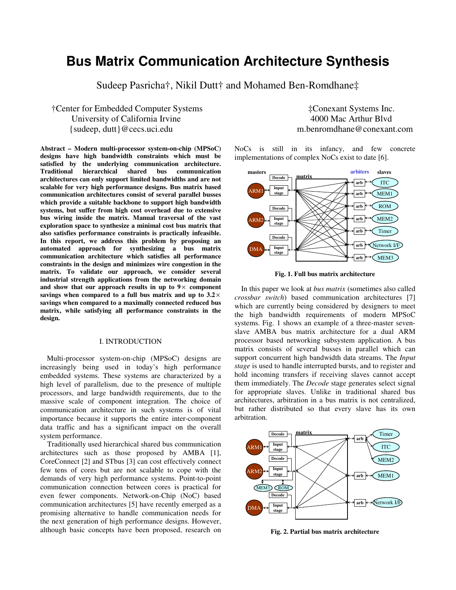## **Bus Matrix Communication Architecture Synthesis**

Sudeep Pasricha†, Nikil Dutt† and Mohamed Ben-Romdhane‡

### †Center for Embedded Computer Systems ‡Conexant Systems Inc. University of California Irvine 4000 Mac Arthur Blvd {sudeep, dutt}@cecs.uci.edu m.benromdhane@conexant.com

**Abstract – Modern multi-processor system-on-chip (MPSoC) designs have high bandwidth constraints which must be satisfied by the underlying communication architecture. Traditional hierarchical shared bus communication architectures can only support limited bandwidths and are not scalable for very high performance designs. Bus matrix based communication architectures consist of several parallel busses which provide a suitable backbone to support high bandwidth systems, but suffer from high cost overhead due to extensive bus wiring inside the matrix. Manual traversal of the vast exploration space to synthesize a minimal cost bus matrix that also satisfies performance constraints is practically infeasible. In this report, we address this problem by proposing an automated approach for synthesizing a bus matrix communication architecture which satisfies all performance constraints in the design and minimizes wire congestion in the matrix. To validate our approach, we consider several industrial strength applications from the networking domain and show that our approach results in up to 9** × **component savings when compared to a full bus matrix and up to 3.2** × **savings when compared to a maximally connected reduced bus matrix, while satisfying all performance constraints in the design.**

#### I. INTRODUCTION

Multi-processor system-on-chip (MPSoC) designs are increasingly being used in today's high performance embedded systems. These systems are characterized by a high level of parallelism, due to the presence of multiple processors, and large bandwidth requirements, due to the massive scale of component integration. The choice of communication architecture in such systems is of vital importance because it supports the entire inter-component data traffic and has a significant impact on the overall system performance.

Traditionally used hierarchical shared bus communication architectures such as those proposed by AMBA [1], CoreConnect [2] and STbus [3] can cost effectively connect few tens of cores but are not scalable to cope with the demands of very high performance systems. Point-to-point communication connection between cores is practical for even fewer components. Network-on-Chip (NoC) based communication architectures [5] have recently emerged as a promising alternative to handle communication needs for the next generation of high performance designs. However, although basic concepts have been proposed, research on

NoCs is still in its infancy, and few concrete implementations of complex NoCs exist to date [6].



**Fig. 1. Full bus matrix architecture**

In this paper we look at *bus matrix* (sometimes also called *crossbar switch*) based communication architectures [7] which are currently being considered by designers to meet the high bandwidth requirements of modern MPSoC systems. Fig. 1 shows an example of a three-master sevenslave AMBA bus matrix architecture for a dual ARM processor based networking subsystem application. A bus matrix consists of several busses in parallel which can support concurrent high bandwidth data streams. The *Input stage* is used to handle interrupted bursts, and to register and hold incoming transfers if receiving slaves cannot accept them immediately. The *Decode* stage generates select signal for appropriate slaves. Unlike in traditional shared bus architectures, arbitration in a bus matrix is not centralized, but rather distributed so that every slave has its own arbitration.



**Fig. 2. Partial bus matrix architecture**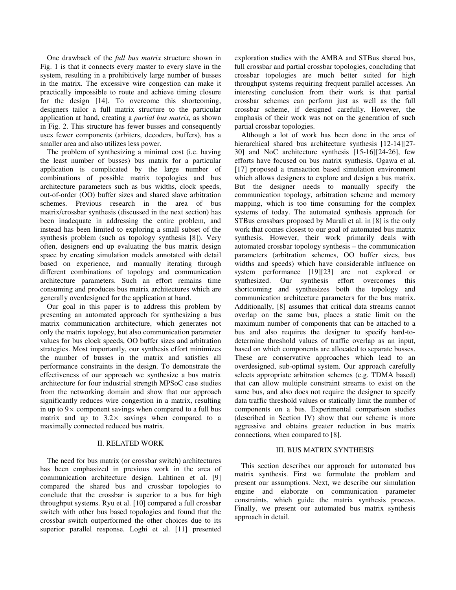One drawback of the *full bus matrix* structure shown in Fig. 1 is that it connects every master to every slave in the system, resulting in a prohibitively large number of busses in the matrix. The excessive wire congestion can make it practically impossible to route and achieve timing closure for the design [14]. To overcome this shortcoming, designers tailor a full matrix structure to the particular application at hand, creating a *partial bus matrix*, as shown in Fig. 2. This structure has fewer busses and consequently uses fewer components (arbiters, decoders, buffers), has a smaller area and also utilizes less power.

The problem of synthesizing a minimal cost (i.e. having the least number of busses) bus matrix for a particular application is complicated by the large number of combinations of possible matrix topologies and bus architecture parameters such as bus widths, clock speeds, out-of-order (OO) buffer sizes and shared slave arbitration schemes. Previous research in the area of bus matrix/crossbar synthesis (discussed in the next section) has been inadequate in addressing the entire problem, and instead has been limited to exploring a small subset of the synthesis problem (such as topology synthesis [8]). Very often, designers end up evaluating the bus matrix design space by creating simulation models annotated with detail based on experience, and manually iterating through different combinations of topology and communication architecture parameters. Such an effort remains time consuming and produces bus matrix architectures which are generally overdesigned for the application at hand.

Our goal in this paper is to address this problem by presenting an automated approach for synthesizing a bus matrix communication architecture, which generates not only the matrix topology, but also communication parameter values for bus clock speeds, OO buffer sizes and arbitration strategies. Most importantly, our synthesis effort minimizes the number of busses in the matrix and satisfies all performance constraints in the design. To demonstrate the effectiveness of our approach we synthesize a bus matrix architecture for four industrial strength MPSoC case studies from the networking domain and show that our approach significantly reduces wire congestion in a matrix, resulting in up to  $9 \times$  component savings when compared to a full bus matrix and up to  $3.2 \times$  savings when compared to a maximally connected reduced bus matrix.

#### II. RELATED WORK

The need for bus matrix (or crossbar switch) architectures has been emphasized in previous work in the area of communication architecture design. Lahtinen et al. [9] compared the shared bus and crossbar topologies to conclude that the crossbar is superior to a bus for high throughput systems. Ryu et al. [10] compared a full crossbar switch with other bus based topologies and found that the crossbar switch outperformed the other choices due to its superior parallel response. Loghi et al. [11] presented

exploration studies with the AMBA and STBus shared bus, full crossbar and partial crossbar topologies, concluding that crossbar topologies are much better suited for high throughput systems requiring frequent parallel accesses. An interesting conclusion from their work is that partial crossbar schemes can perform just as well as the full crossbar scheme, if designed carefully. However, the emphasis of their work was not on the generation of such partial crossbar topologies.

Although a lot of work has been done in the area of hierarchical shared bus architecture synthesis [12-14][27-14]] 30] and NoC architecture synthesis [15-16][24-26], few efforts have focused on bus matrix synthesis. Ogawa et al. [17] proposed a transaction based simulation environment which allows designers to explore and design a bus matrix. But the designer needs to manually specify the communication topology, arbitration scheme and memory mapping, which is too time consuming for the complex systems of today. The automated synthesis approach for STBus crossbars proposed by Murali et al. in [8] is the only work that comes closest to our goal of automated bus matrix synthesis. However, their work primarily deals with automated crossbar topology synthesis – the communication parameters (arbitration schemes, OO buffer sizes, bus widths and speeds) which have considerable influence on system performance [19][23] are not explored or synthesized. Our synthesis effort overcomes this shortcoming and synthesizes both the topology and communication architecture parameters for the bus matrix. Additionally, [8] assumes that critical data streams cannot overlap on the same bus, places a static limit on the maximum number of components that can be attached to a bus and also requires the designer to specify hard-todetermine threshold values of traffic overlap as an input, based on which components are allocated to separate busses. These are conservative approaches which lead to an overdesigned, sub-optimal system. Our approach carefully selects appropriate arbitration schemes (e.g. TDMA based) that can allow multiple constraint streams to exist on the same bus, and also does not require the designer to specify data traffic threshold values or statically limit the number of components on a bus. Experimental comparison studies (described in Section IV) show that our scheme is more aggressive and obtains greater reduction in bus matrix connections, when compared to [8].

#### III. BUS MATRIX SYNTHESIS

This section describes our approach for automated bus matrix synthesis. First we formulate the problem and present our assumptions. Next, we describe our simulation engine and elaborate on communication parameter constraints, which guide the matrix synthesis process. Finally, we present our automated bus matrix synthesis approach in detail.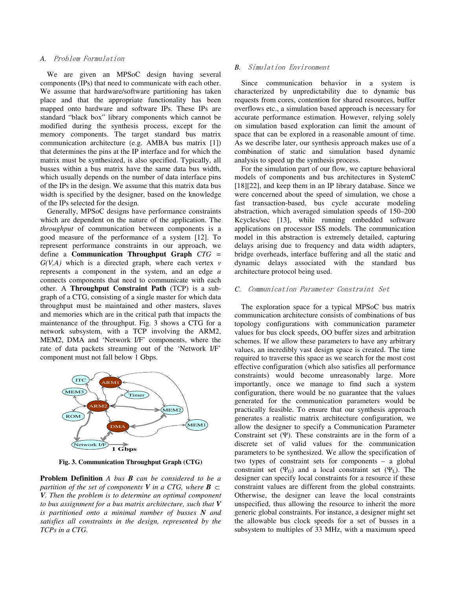#### A. Problem Formulation

We are given an MPSoC design having several components (IPs) that need to communicate with each other. We assume that hardware/software partitioning has taken place and that the appropriate functionality has been mapped onto hardware and software IPs. These IPs are standard "black box" library components which cannot be modified during the synthesis process, except for the memory components. The target standard bus matrix communication architecture (e.g. AMBA bus matrix [1]) that determines the pins at the IP interface and for which the matrix must be synthesized, is also specified. Typically, all busses within a bus matrix have the same data bus width, which usually depends on the number of data interface pins of the IPs in the design. We assume that this matrix data bus width is specified by the designer, based on the knowledge of the IPs selected for the design.

Generally, MPSoC designs have performance constraints which are dependent on the nature of the application. The *throughput* of communication between components is a good measure of the performance of a system [12]. To represent performance constraints in our approach, we define a **Communication Throughput Graph** *CTG = G(V,A)* which is a directed graph, where each vertex *v* represents a component in the system, and an edge *a* connects components that need to communicate with each other. A **Throughput Constraint Path** (TCP) is a subgraph of a CTG, consisting of a single master for which data throughput must be maintained and other masters, slaves and memories which are in the critical path that impacts the maintenance of the throughput. Fig. 3 shows a CTG for a network subsystem, with a TCP involving the ARM2, MEM2, DMA and 'Network I/F' components, where the rate of data packets streaming out of the 'Network I/F' component must not fall below 1 Gbps.



**Fig. 3. Communication Throughput Graph (CTG)**

**Problem Definition** *A bus B can be considered to be a partition of the set of components*  $V$  *in a CTG, where*  $B \subset$ *V. Then the problem is to determine an optimal component to bus assignment for a bus matrix architecture, such that V is partitioned onto a minimal number of busses N and satisfies all constraints in the design, represented by the TCPs in a CTG.*

#### **B.** Simulation Environment

Since communication behavior in a system is characterized by unpredictability due to dynamic bus requests from cores, contention for shared resources, buffer overflows etc., a simulation based approach is necessary for accurate performance estimation. However, relying solely on simulation based exploration can limit the amount of space that can be explored in a reasonable amount of time. As we describe later, our synthesis approach makes use of a combination of static and simulation based dynamic analysis to speed up the synthesis process.

For the simulation part of our flow, we capture behavioral models of components and bus architectures in SystemC [18][22], and keep them in an IP library database. Since we were concerned about the speed of simulation, we chose a fast transaction-based, bus cycle accurate modeling abstraction, which averaged simulation speeds of 150–200 Kcycles/sec [13], while running embedded software applications on processor ISS models. The communication model in this abstraction is extremely detailed, capturing delays arising due to frequency and data width adapters, bridge overheads, interface buffering and all the static and dynamic delays associated with the standard bus architecture protocol being used.

#### C. Communication Parameter Constraint Set

The exploration space for a typical MPSoC bus matrix communication architecture consists of combinations of bus topology configurations with communication parameter values for bus clock speeds, OO buffer sizes and arbitration schemes. If we allow these parameters to have any arbitrary values, an incredibly vast design space is created. The time required to traverse this space as we search for the most cost effective configuration (which also satisfies all performance constraints) would become unreasonably large. More importantly, once we manage to find such a system configuration, there would be no guarantee that the values generated for the communication parameters would be practically feasible. To ensure that our synthesis approach generates a realistic matrix architecture configuration, we allow the designer to specify a Communication Parameter Constraint set  $(\Psi)$ . These constraints are in the form of a discrete set of valid values for the communication parameters to be synthesized. We allow the specification of two types of constraint sets for components – a global constraint set  $(\Psi_G)$  and a local constraint set  $(\Psi_I)$ . The designer can specify local constraints for a resource if these constraint values are different from the global constraints. Otherwise, the designer can leave the local constraints unspecified, thus allowing the resource to inherit the more generic global constraints. For instance, a designer might set the allowable bus clock speeds for a set of busses in a subsystem to multiples of 33 MHz, with a maximum speed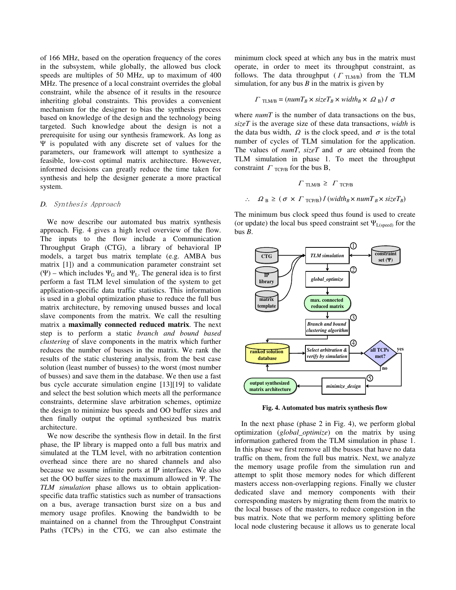of 166 MHz, based on the operation frequency of the cores in the subsystem, while globally, the allowed bus clock speeds are multiples of 50 MHz, up to maximum of 400 MHz. The presence of a local constraint overrides the global constraint, while the absence of it results in the resource inheriting global constraints. This provides a convenient mechanism for the designer to bias the synthesis process based on knowledge of the design and the technology being targeted. Such knowledge about the design is not a prerequisite for using our synthesis framework. As long as  $\Psi$  is populated with any discrete set of values for the parameters, our framework will attempt to synthesize a feasible, low-cost optimal matrix architecture. However, informed decisions can greatly reduce the time taken for synthesis and help the designer generate a more practical system.

#### D. Synthesis Approach

We now describe our automated bus matrix synthesis approach. Fig. 4 gives a high level overview of the flow. The inputs to the flow include a Communication Throughput Graph (CTG), a library of behavioral IP models, a target bus matrix template (e.g. AMBA bus matrix [1]) and a communication parameter constraint set ( $\Psi$ ) – which includes  $\Psi_G$  and  $\Psi_L$ . The general idea is to first perform a fast TLM level simulation of the system to get application-specific data traffic statistics. This information is used in a global optimization phase to reduce the full bus matrix architecture, by removing unused busses and local slave components from the matrix. We call the resulting matrix a **maximally connected reduced matrix**. The next step is to perform a static *branch and bound based clustering* of slave components in the matrix which further reduces the number of busses in the matrix. We rank the results of the static clustering analysis, from the best case solution (least number of busses) to the worst (most number of busses) and save them in the database. We then use a fast bus cycle accurate simulation engine [13][19] to validate and select the best solution which meets all the performance constraints, determine slave arbitration schemes, optimize the design to minimize bus speeds and OO buffer sizes and then finally output the optimal synthesized bus matrix architecture.

We now describe the synthesis flow in detail. In the first phase, the IP library is mapped onto a full bus matrix and simulated at the TLM level, with no arbitration contention overhead since there are no shared channels and also because we assume infinite ports at IP interfaces. We also set the OO buffer sizes to the maximum allowed in  $\Psi$ . The *TLM simulation* phase allows us to obtain applicationspecific data traffic statistics such as number of transactions on a bus, average transaction burst size on a bus and memory usage profiles. Knowing the bandwidth to be maintained on a channel from the Throughput Constraint Paths (TCPs) in the CTG, we can also estimate the minimum clock speed at which any bus in the matrix must operate, in order to meet its throughput constraint, as follows. The data throughput ( $\Gamma$ <sub>TLM/B</sub>) from the TLM simulation, for any bus  $B$  in the matrix is given by

$$
\Gamma_{\text{TLM/B}} = (numT_B \times sizeT_B \times width_B \times \Omega_B) / \sigma
$$

where *numT* is the number of data transactions on the bus, *sizeT* is the average size of these data transactions, *width* is the data bus width,  $\Omega$  is the clock speed, and  $\sigma$  is the total number of cycles of TLM simulation for the application. The values of  $numT$ ,  $sizeT$  and  $\sigma$  are obtained from the TLM simulation in phase 1. To meet the throughput constraint  $\Gamma$ <sub>TCP/B</sub> for the bus B,

$$
\Gamma_{\text{TLMB}} \geq \Gamma_{\text{TCP/B}}
$$
  
 
$$
\therefore \quad \Omega_B \geq (\sigma \times \Gamma_{\text{TCP/B}}) / (width_B \times numT_B \times sizeT_B)
$$

The minimum bus clock speed thus found is used to create (or update) the local bus speed constraint set  $\Psi_{L(speed)}$  for the bus *B*.



**Fig. 4. Automated bus matrix synthesis flow**

In the next phase (phase 2 in Fig. 4), we perform global optimization (*global\_optimize*) on the matrix by using information gathered from the TLM simulation in phase 1. In this phase we first remove all the busses that have no data traffic on them, from the full bus matrix. Next, we analyze the memory usage profile from the simulation run and attempt to split those memory nodes for which different masters access non-overlapping regions. Finally we cluster dedicated slave and memory components with their corresponding masters by migrating them from the matrix to the local busses of the masters, to reduce congestion in the bus matrix. Note that we perform memory splitting before local node clustering because it allows us to generate local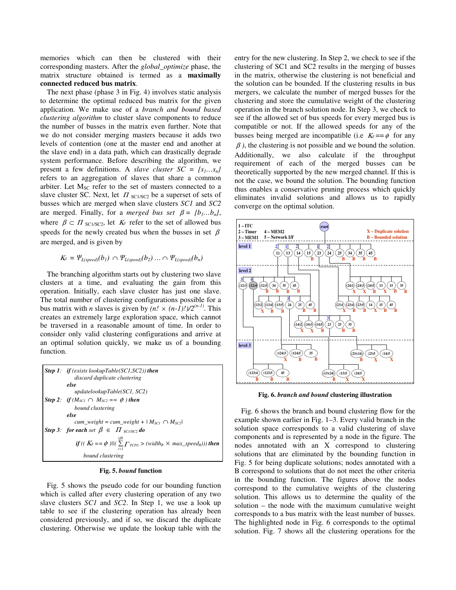memories which can then be clustered with their corresponding masters. After the *global\_optimize* phase, the matrix structure obtained is termed as a **maximally connected reduced bus matrix**.

The next phase (phase 3 in Fig. 4) involves static analysis to determine the optimal reduced bus matrix for the given application. We make use of a *branch and bound based clustering algorithm* to cluster slave components to reduce the number of busses in the matrix even further. Note that we do not consider merging masters because it adds two levels of contention (one at the master end and another at the slave end) in a data path, which can drastically degrade system performance. Before describing the algorithm, we present a few definitions. A *slave cluster*  $SC = \{s_1, \ldots s_n\}$ refers to an aggregation of slaves that share a common arbiter. Let  $M_{SC}$  refer to the set of masters connected to a slave cluster SC. Next, let  $\Pi$  sclose a superset of sets of busses which are merged when slave clusters *SC1* and *SC2* are merged. Finally, for a *merged bus set*  $\beta = \{b_1...b_n\}$ , where  $\beta \subset \Pi_{\text{SC1/SC2}}$ , let  $K_{\beta}$  refer to the set of allowed bus speeds for the newly created bus when the busses in set  $\beta$ are merged, and is given by

$$
K_{\beta} = \Psi_{L(speed)}(b_1) \cap \Psi_{L(speed)}(b_2) \dots \cap \Psi_{L(speed)}(b_n)
$$

The branching algorithm starts out by clustering two slave clusters at a time, and evaluating the gain from this operation. Initially, each slave cluster has just one slave. The total number of clustering configurations possible for a bus matrix with *n* slaves is given by  $(n! \times (n-1)!)/2^{(n-1)}$ . This creates an extremely large exploration space, which cannot be traversed in a reasonable amount of time. In order to consider only valid clustering configurations and arrive at an optimal solution quickly, we make us of a bounding function.

| <b>Step 1:</b> if (exists lookupTable(SC1,SC2)) then<br>discard duplicate clustering                        |
|-------------------------------------------------------------------------------------------------------------|
| else<br>updatelookupTable(SC1, SC2)                                                                         |
| Step 2: if $(M_{\text{SCI}} \cap M_{\text{SC2}} == \emptyset)$ then<br>bound clustering                     |
| else<br>cum_weight = cum_weight + $ M_{\text{SC1}} \cap M_{\text{SC2}} $                                    |
| Step 3: for each set $\beta \in \Pi$ scuse do                                                               |
| if $((K_{\beta} == \phi)    (\sum_{r}^{\beta} \Gamma_{r \cap r} > (width_{B} \times max\_speed_{B})))$ then |
| bound clustering                                                                                            |

#### **Fig. 5.** *bound* **function**

Fig. 5 shows the pseudo code for our bounding function which is called after every clustering operation of any two slave clusters *SC1* and *SC2*. In Step 1, we use a look up table to see if the clustering operation has already been considered previously, and if so, we discard the duplicate clustering. Otherwise we update the lookup table with the entry for the new clustering. In Step 2, we check to see if the clustering of SC1 and SC2 results in the merging of busses in the matrix, otherwise the clustering is not beneficial and the solution can be bounded. If the clustering results in bus mergers, we calculate the number of merged busses for the clustering and store the cumulative weight of the clustering operation in the branch solution node. In Step 3, we check to see if the allowed set of bus speeds for every merged bus is compatible or not. If the allowed speeds for any of the busses being merged are incompatible (i.e  $K_{\beta} = \phi$  for any  $\beta$ ), the clustering is not possible and we bound the solution. Additionally, we also calculate if the throughput requirement of each of the merged busses can be theoretically supported by the new merged channel. If this is not the case, we bound the solution. The bounding function thus enables a conservative pruning process which quickly eliminates invalid solutions and allows us to rapidly converge on the optimal solution.



**Fig. 6.** *branch and bound* **clustering illustration**

Fig. 6 shows the branch and bound clustering flow for the example shown earlier in Fig. 1–3. Every valid branch in the solution space corresponds to a valid clustering of slave components and is represented by a node in the figure. The nodes annotated with an X correspond to clustering solutions that are eliminated by the bounding function in Fig. 5 for being duplicate solutions; nodes annotated with a B correspond to solutions that do not meet the other criteria in the bounding function. The figures above the nodes correspond to the cumulative weights of the clustering solution. This allows us to determine the quality of the solution – the node with the maximum cumulative weight corresponds to a bus matrix with the least number of busses. The highlighted node in Fig. 6 corresponds to the optimal solution. Fig. 7 shows all the clustering operations for the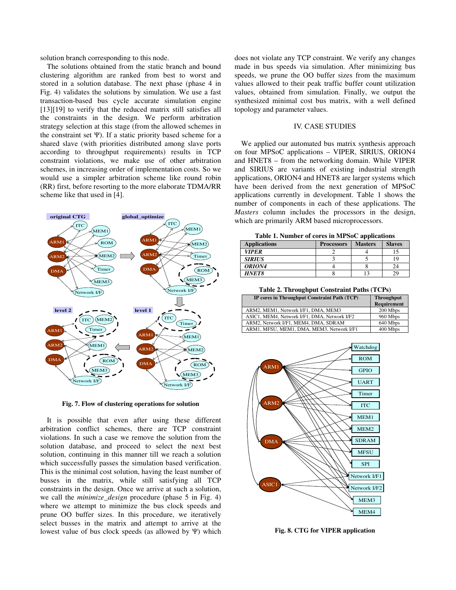solution branch corresponding to this node.

The solutions obtained from the static branch and bound clustering algorithm are ranked from best to worst and stored in a solution database. The next phase (phase 4 in Fig. 4) validates the solutions by simulation. We use a fast transaction-based bus cycle accurate simulation engine [13][19] to verify that the reduced matrix still satisfies all the constraints in the design. We perform arbitration strategy selection at this stage (from the allowed schemes in the constraint set  $\Psi$ ). If a static priority based scheme for a shared slave (with priorities distributed among slave ports according to throughput requirements) results in TCP constraint violations, we make use of other arbitration schemes, in increasing order of implementation costs. So we would use a simpler arbitration scheme like round robin (RR) first, before resorting to the more elaborate TDMA/RR scheme like that used in [4].



**Fig. 7. Flow of clustering operations for solution**

It is possible that even after using these different arbitration conflict schemes, there are TCP constraint violations. In such a case we remove the solution from the solution database, and proceed to select the next best solution, continuing in this manner till we reach a solution which successfully passes the simulation based verification. This is the minimal cost solution, having the least number of busses in the matrix, while still satisfying all TCP constraints in the design. Once we arrive at such a solution, we call the *minimize\_design* procedure (phase 5 in Fig. 4) where we attempt to minimize the bus clock speeds and prune OO buffer sizes. In this procedure, we iteratively select busses in the matrix and attempt to arrive at the lowest value of bus clock speeds (as allowed by  $\Psi$ ) which does not violate any TCP constraint. We verify any changes made in bus speeds via simulation. After minimizing bus speeds, we prune the OO buffer sizes from the maximum values allowed to their peak traffic buffer count utilization values, obtained from simulation. Finally, we output the synthesized minimal cost bus matrix, with a well defined topology and parameter values.

#### IV. CASE STUDIES

We applied our automated bus matrix synthesis approach on four MPSoC applications – VIPER, SIRIUS, ORION4 and HNET8 – from the networking domain. While VIPER and SIRIUS are variants of existing industrial strength applications, ORION4 and HNET8 are larger systems which have been derived from the next generation of MPSoC applications currently in development. Table 1 shows the number of components in each of these applications. The *Masters* column includes the processors in the design, which are primarily ARM based microprocessors.

**Table 1. Number of cores in MPSoC applications**

| <b>Applications</b> | <b>Processors</b> | <b>Masters</b> | <b>Slaves</b> |
|---------------------|-------------------|----------------|---------------|
| <b>VIPER</b>        |                   |                |               |
| <b>SIRIUS</b>       |                   |                |               |
| ORION4              |                   |                |               |
| <b>HNET8</b>        |                   |                | 29            |

**Table 2. Throughput Constraint Paths (TCPs)**

| IP cores in Throughput Constraint Path (TCP) | <b>Throughput</b><br>Requirement |
|----------------------------------------------|----------------------------------|
| ARM2, MEM1, Network I/F1, DMA, MEM3          | 200 Mbps                         |
| ASIC1, MEM4, Network I/F1, DMA, Network I/F2 | 960 Mbps                         |
| ARM2. Network I/F1. MEM4. DMA. SDRAM         | 640 Mbps                         |
| ARM1, MFSU, MEM1, DMA, MEM3, Network I/F1    | 400 Mbps                         |



**Fig. 8. CTG for VIPER application**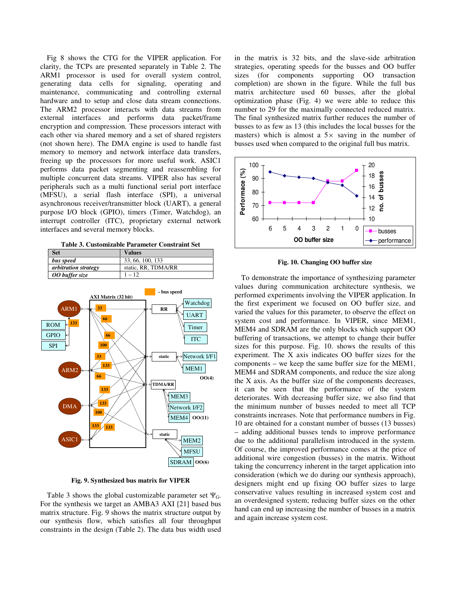Fig 8 shows the CTG for the VIPER application. For clarity, the TCPs are presented separately in Table 2. The ARM1 processor is used for overall system control, generating data cells for signaling, operating and maintenance, communicating and controlling external hardware and to setup and close data stream connections. The ARM2 processor interacts with data streams from external interfaces and performs data packet/frame encryption and compression. These processors interact with each other via shared memory and a set of shared registers (not shown here). The DMA engine is used to handle fast memory to memory and network interface data transfers, freeing up the processors for more useful work. ASIC1 performs data packet segmenting and reassembling for multiple concurrent data streams. VIPER also has several peripherals such as a multi functional serial port interface (MFSU), a serial flash interface (SPI), a universal asynchronous receiver/transmitter block (UART), a general purpose I/O block (GPIO), timers (Timer, Watchdog), an interrupt controller (ITC), proprietary external network interfaces and several memory blocks.

**Table 3. Customizable Parameter Constraint Set**





**Fig. 9. Synthesized bus matrix for VIPER**

Table 3 shows the global customizable parameter set  $\Psi_G$ . For the synthesis we target an AMBA3 AXI [21] based bus matrix structure. Fig. 9 shows the matrix structure output by our synthesis flow, which satisfies all four throughput constraints in the design (Table 2). The data bus width used in the matrix is 32 bits, and the slave-side arbitration strategies, operating speeds for the busses and OO buffer sizes (for components supporting OO transaction completion) are shown in the figure. While the full bus matrix architecture used 60 busses, after the global optimization phase (Fig. 4) we were able to reduce this number to 29 for the maximally connected reduced matrix. The final synthesized matrix further reduces the number of busses to as few as 13 (this includes the local busses for the masters) which is almost a  $5 \times$  saving in the number of busses used when compared to the original full bus matrix.



**Fig. 10. Changing OO buffer size**

To demonstrate the importance of synthesizing parameter values during communication architecture synthesis, we performed experiments involving the VIPER application. In the first experiment we focused on OO buffer size, and varied the values for this parameter, to observe the effect on system cost and performance. In VIPER, since MEM1, MEM4 and SDRAM are the only blocks which support OO buffering of transactions, we attempt to change their buffer sizes for this purpose. Fig. 10. shows the results of this experiment. The X axis indicates OO buffer sizes for the components – we keep the same buffer size for the MEM1, MEM4 and SDRAM components, and reduce the size along the X axis. As the buffer size of the components decreases, it can be seen that the performance of the system deteriorates. With decreasing buffer size, we also find that the minimum number of busses needed to meet all TCP constraints increases. Note that performance numbers in Fig. 10 are obtained for a constant number of busses (13 busses) – adding additional busses tends to improve performance due to the additional parallelism introduced in the system. Of course, the improved performance comes at the price of additional wire congestion (busses) in the matrix. Without taking the concurrency inherent in the target application into consideration (which we do during our synthesis approach), designers might end up fixing OO buffer sizes to large conservative values resulting in increased system cost and an overdesigned system; reducing buffer sizes on the other hand can end up increasing the number of busses in a matrix and again increase system cost.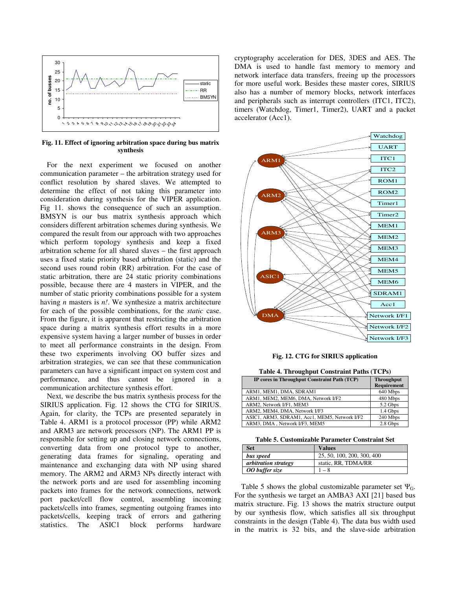

**Fig. 11. Effect of ignoring arbitration space during bus matrix synthesis**

For the next experiment we focused on another communication parameter – the arbitration strategy used for conflict resolution by shared slaves. We attempted to determine the effect of not taking this parameter into consideration during synthesis for the VIPER application. Fig 11. shows the consequence of such an assumption. BMSYN is our bus matrix synthesis approach which considers different arbitration schemes during synthesis. We compared the result from our approach with two approaches which perform topology synthesis and keep a fixed arbitration scheme for all shared slaves – the first approach uses a fixed static priority based arbitration (static) and the second uses round robin (RR) arbitration. For the case of static arbitration, there are 24 static priority combinations possible, because there are 4 masters in VIPER, and the number of static priority combinations possible for a system having *n* masters is *n!*. We synthesize a matrix architecture for each of the possible combinations, for the *static* case. From the figure, it is apparent that restricting the arbitration space during a matrix synthesis effort results in a more expensive system having a larger number of busses in order to meet all performance constraints in the design. From these two experiments involving OO buffer sizes and arbitration strategies, we can see that these communication parameters can have a significant impact on system cost and performance, and thus cannot be ignored in a communication architecture synthesis effort.

Next, we describe the bus matrix synthesis process for the SIRIUS application. Fig. 12 shows the CTG for SIRIUS. Again, for clarity, the TCPs are presented separately in Table 4. ARM1 is a protocol processor (PP) while ARM2 and ARM3 are network processors (NP). The ARM1 PP is responsible for setting up and closing network connections, converting data from one protocol type to another, generating data frames for signaling, operating and maintenance and exchanging data with NP using shared memory. The ARM2 and ARM3 NPs directly interact with the network ports and are used for assembling incoming packets into frames for the network connections, network port packet/cell flow control, assembling incoming packets/cells into frames, segmenting outgoing frames into packets/cells, keeping track of errors and gathering statistics. The ASIC1 block performs hardware cryptography acceleration for DES, 3DES and AES. The DMA is used to handle fast memory to memory and network interface data transfers, freeing up the processors for more useful work. Besides these master cores, SIRIUS also has a number of memory blocks, network interfaces and peripherals such as interrupt controllers (ITC1, ITC2), timers (Watchdog, Timer1, Timer2), UART and a packet accelerator (Acc1).



**Fig. 12. CTG for SIRIUS application**

**Table 4. Throughput Constraint Paths (TCPs)**

| IP cores in Throughput Constraint Path (TCP)  | <b>Throughput</b>  |
|-----------------------------------------------|--------------------|
|                                               | <b>Requirement</b> |
| ARM1, MEM1, DMA, SDRAM1                       | 640 Mbps           |
| ARM1, MEM2, MEM6, DMA, Network I/F2           | 480 Mbps           |
| ARM2, Network I/F1, MEM3                      | 5.2 Gbps           |
| ARM2, MEM4, DMA, Network I/F3                 | 1.4 Gbps           |
| ASIC1, ARM3, SDRAM1, Acc1, MEM5, Network I/F2 | 240 Mbps           |
| ARM3, DMA, Network I/F3, MEM5                 | 2.8 Gbps           |

**Table 5. Customizable Parameter Constraint Set**

| Set                         | <b>Values</b>              |
|-----------------------------|----------------------------|
| bus speed                   | 25, 50, 100, 200, 300, 400 |
| <i>arbitration strategy</i> | static, RR, TDMA/RR        |
| 00 buffer size              | $-8$                       |

Table 5 shows the global customizable parameter set  $\Psi_G$ . For the synthesis we target an AMBA3 AXI [21] based bus matrix structure. Fig. 13 shows the matrix structure output by our synthesis flow, which satisfies all six throughput constraints in the design (Table 4). The data bus width used in the matrix is 32 bits, and the slave-side arbitration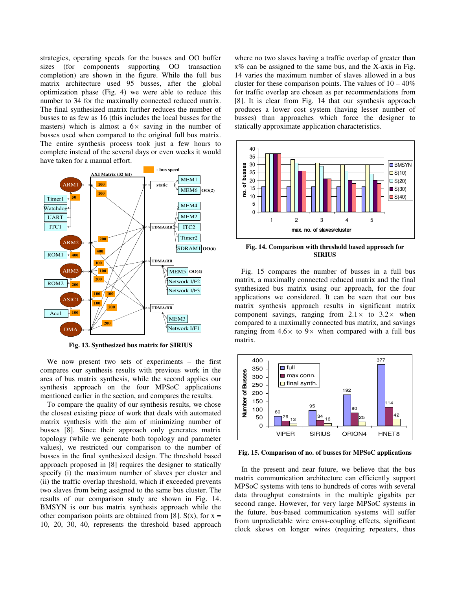strategies, operating speeds for the busses and OO buffer sizes (for components supporting OO transaction completion) are shown in the figure. While the full bus matrix architecture used 95 busses, after the global optimization phase (Fig. 4) we were able to reduce this number to 34 for the maximally connected reduced matrix. The final synthesized matrix further reduces the number of busses to as few as 16 (this includes the local busses for the masters) which is almost a  $6 \times$  saving in the number of busses used when compared to the original full bus matrix. The entire synthesis process took just a few hours to complete instead of the several days or even weeks it would have taken for a manual effort.



**Fig. 13. Synthesized bus matrix for SIRIUS**

We now present two sets of experiments – the first compares our synthesis results with previous work in the area of bus matrix synthesis, while the second applies our synthesis approach on the four MPSoC applications mentioned earlier in the section, and compares the results.

To compare the quality of our synthesis results, we chose the closest existing piece of work that deals with automated matrix synthesis with the aim of minimizing number of busses [8]. Since their approach only generates matrix topology (while we generate both topology and parameter values), we restricted our comparison to the number of busses in the final synthesized design. The threshold based approach proposed in [8] requires the designer to statically specify (i) the maximum number of slaves per cluster and (ii) the traffic overlap threshold, which if exceeded prevents two slaves from being assigned to the same bus cluster. The results of our comparison study are shown in Fig. 14. BMSYN is our bus matrix synthesis approach while the other comparison points are obtained from [8].  $S(x)$ , for  $x =$ 10, 20, 30, 40, represents the threshold based approach

where no two slaves having a traffic overlap of greater than x% can be assigned to the same bus, and the X-axis in Fig. 14 varies the maximum number of slaves allowed in a bus cluster for these comparison points. The values of  $10 - 40\%$ for traffic overlap are chosen as per recommendations from [8]. It is clear from Fig. 14 that our synthesis approach produces a lower cost system (having lesser number of busses) than approaches which force the designer to statically approximate application characteristics.



**Fig. 14. Comparison with threshold based approach for SIRIUS**

Fig. 15 compares the number of busses in a full bus matrix, a maximally connected reduced matrix and the final synthesized bus matrix using our approach, for the four applications we considered. It can be seen that our bus matrix synthesis approach results in significant matrix component savings, ranging from  $2.1 \times$  to  $3.2 \times$  when compared to a maximally connected bus matrix, and savings ranging from  $4.6 \times$  to  $9 \times$  when compared with a full bus matrix.



**Fig. 15. Comparison of no. of busses for MPSoC applications**

In the present and near future, we believe that the bus matrix communication architecture can efficiently support MPSoC systems with tens to hundreds of cores with several data throughput constraints in the multiple gigabits per second range. However, for very large MPSoC systems in the future, bus-based communication systems will suffer from unpredictable wire cross-coupling effects, significant clock skews on longer wires (requiring repeaters, thus